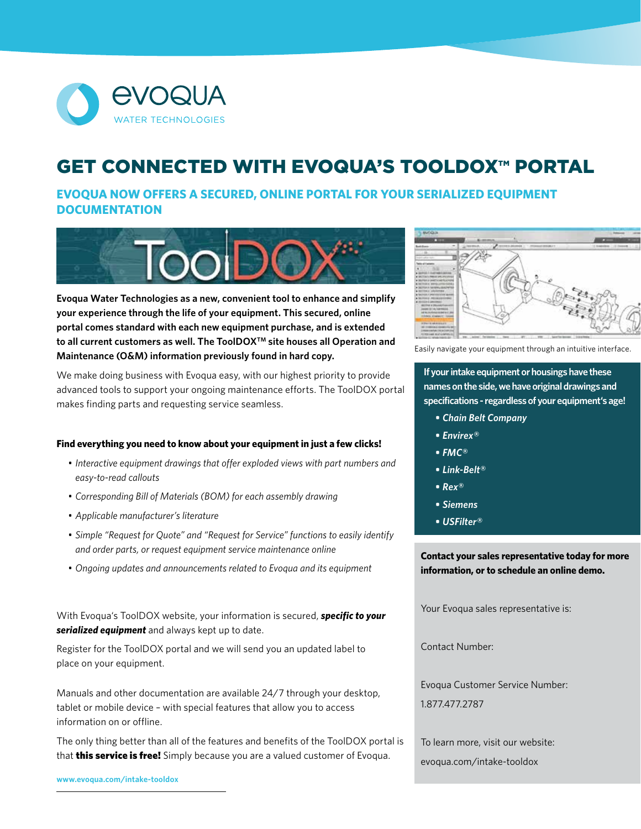

## **GET CONNECTED WITH EVOQUA'S TOOLDOX™ PORTAL**

**EVOQUA NOW OFFERS A SECURED, ONLINE PORTAL FOR YOUR SERIALIZED EQUIPMENT DOCUMENTATION**



**Evoqua Water Technologies as a new, convenient tool to enhance and simplify your experience through the life of your equipment. This secured, online portal comes standard with each new equipment purchase, and is extended**  to all current customers as well. The ToolDOX<sup>™</sup> site houses all Operation and **Maintenance (O&M) information previously found in hard copy.** 

We make doing business with Evoqua easy, with our highest priority to provide advanced tools to support your ongoing maintenance efforts. The ToolDOX portal makes finding parts and requesting service seamless.

## **Find everything you need to know about your equipment in just a few clicks!**

- *• Interactive equipment drawings that offer exploded views with part numbers and easy-to-read callouts*
- *• Corresponding Bill of Materials (BOM) for each assembly drawing*
- *• Applicable manufacturer's literature*
- *• Simple "Request for Quote" and "Request for Service" functions to easily identify and order parts, or request equipment service maintenance online*
- *• Ongoing updates and announcements related to Evoqua and its equipment*

With Evoqua's ToolDOX website, your information is secured, *specific to your serialized equipment* and always kept up to date.

Register for the ToolDOX portal and we will send you an updated label to place on your equipment.

Manuals and other documentation are available 24/7 through your desktop, tablet or mobile device – with special features that allow you to access information on or offline.

The only thing better than all of the features and benefits of the ToolDOX portal is that **this service is free!** Simply because you are a valued customer of Evoqua.

**www.evoqua.com/intake-tooldox**



Easily navigate your equipment through an intuitive interface.

**If your intake equipment or housings have these names on the side, we have original drawings and specifications - regardless of your equipment's age!**

- *• Chain Belt Company*
- *• Envirex®*
- *• FMC®*
- *• Link-Belt®*
- *• Rex®*
- *• Siemens*
- *• USFilter®*

**Contact your sales representative today for more information, or to schedule an online demo.**

Your Evoqua sales representative is:

Contact Number:

Evoqua Customer Service Number: 1.877.477.2787

To learn more, visit our website: evoqua.com/intake-tooldox